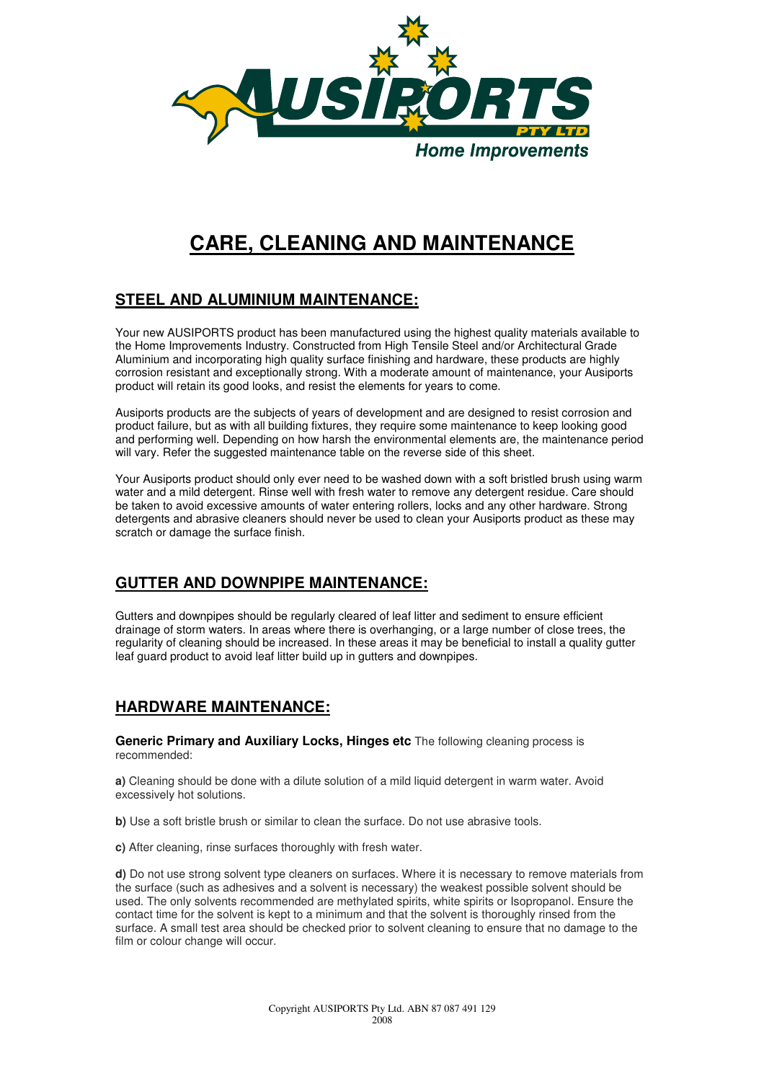

# **CARE, CLEANING AND MAINTENANCE**

## **STEEL AND ALUMINIUM MAINTENANCE:**

Your new AUSIPORTS product has been manufactured using the highest quality materials available to the Home Improvements Industry. Constructed from High Tensile Steel and/or Architectural Grade Aluminium and incorporating high quality surface finishing and hardware, these products are highly corrosion resistant and exceptionally strong. With a moderate amount of maintenance, your Ausiports product will retain its good looks, and resist the elements for years to come.

Ausiports products are the subjects of years of development and are designed to resist corrosion and product failure, but as with all building fixtures, they require some maintenance to keep looking good and performing well. Depending on how harsh the environmental elements are, the maintenance period will vary. Refer the suggested maintenance table on the reverse side of this sheet.

Your Ausiports product should only ever need to be washed down with a soft bristled brush using warm water and a mild detergent. Rinse well with fresh water to remove any detergent residue. Care should be taken to avoid excessive amounts of water entering rollers, locks and any other hardware. Strong detergents and abrasive cleaners should never be used to clean your Ausiports product as these may scratch or damage the surface finish.

## **GUTTER AND DOWNPIPE MAINTENANCE:**

Gutters and downpipes should be regularly cleared of leaf litter and sediment to ensure efficient drainage of storm waters. In areas where there is overhanging, or a large number of close trees, the regularity of cleaning should be increased. In these areas it may be beneficial to install a quality gutter leaf quard product to avoid leaf litter build up in gutters and downpipes.

## **HARDWARE MAINTENANCE:**

**Generic Primary and Auxiliary Locks. Hinges etc** The following cleaning process is recommended:

**a)** Cleaning should be done with a dilute solution of a mild liquid detergent in warm water. Avoid excessively hot solutions.

**b)** Use a soft bristle brush or similar to clean the surface. Do not use abrasive tools.

**c)** After cleaning, rinse surfaces thoroughly with fresh water.

**d)** Do not use strong solvent type cleaners on surfaces. Where it is necessary to remove materials from the surface (such as adhesives and a solvent is necessary) the weakest possible solvent should be used. The only solvents recommended are methylated spirits, white spirits or Isopropanol. Ensure the contact time for the solvent is kept to a minimum and that the solvent is thoroughly rinsed from the surface. A small test area should be checked prior to solvent cleaning to ensure that no damage to the film or colour change will occur.